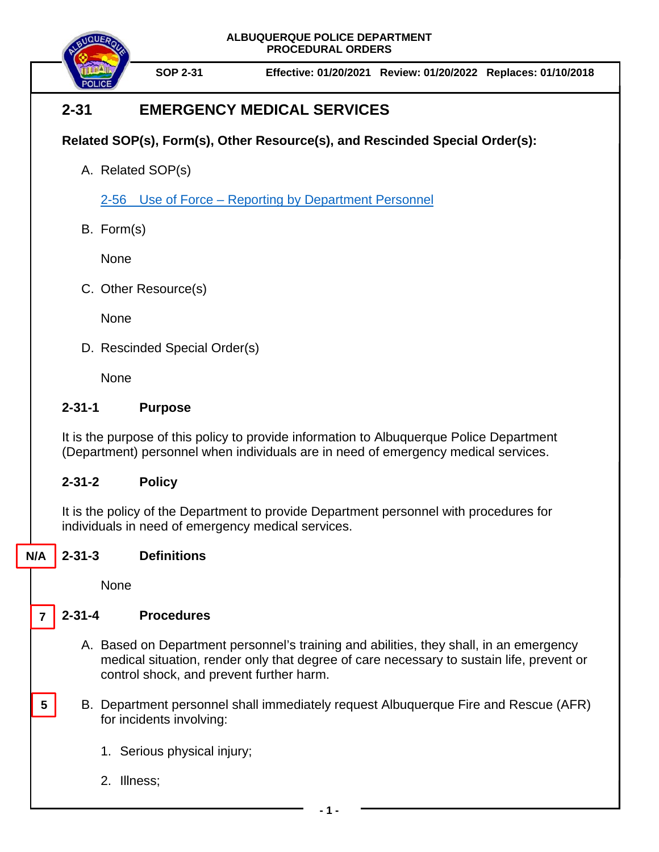**ALBUQUERQUE POLICE DEPARTMENT PROCEDURAL ORDERS**



**SOP 2-31 Effective: 01/20/2021 Review: 01/20/2022 Replaces: 01/10/2018**

# **2-31 EMERGENCY MEDICAL SERVICES**

## **Related SOP(s), Form(s), Other Resource(s), and Rescinded Special Order(s):**

A. Related SOP(s)

2-56 Use of Force – [Reporting by Department Personnel](https://powerdms.com/docs/27)

B. Form(s)

None

C. Other Resource(s)

None

D. Rescinded Special Order(s)

None

### **2-31-1 Purpose**

It is the purpose of this policy to provide information to Albuquerque Police Department (Department) personnel when individuals are in need of emergency medical services.

### **2-31-2 Policy**

It is the policy of the Department to provide Department personnel with procedures for individuals in need of emergency medical services.

#### **2-31-3 Definitions N/A**

**None** 

**5**

#### **2-31-4 Procedures 7**

- A. Based on Department personnel's training and abilities, they shall, in an emergency medical situation, render only that degree of care necessary to sustain life, prevent or control shock, and prevent further harm.
- B. Department personnel shall immediately request Albuquerque Fire and Rescue (AFR) for incidents involving:
	- 1. Serious physical injury;
	- 2. Illness;